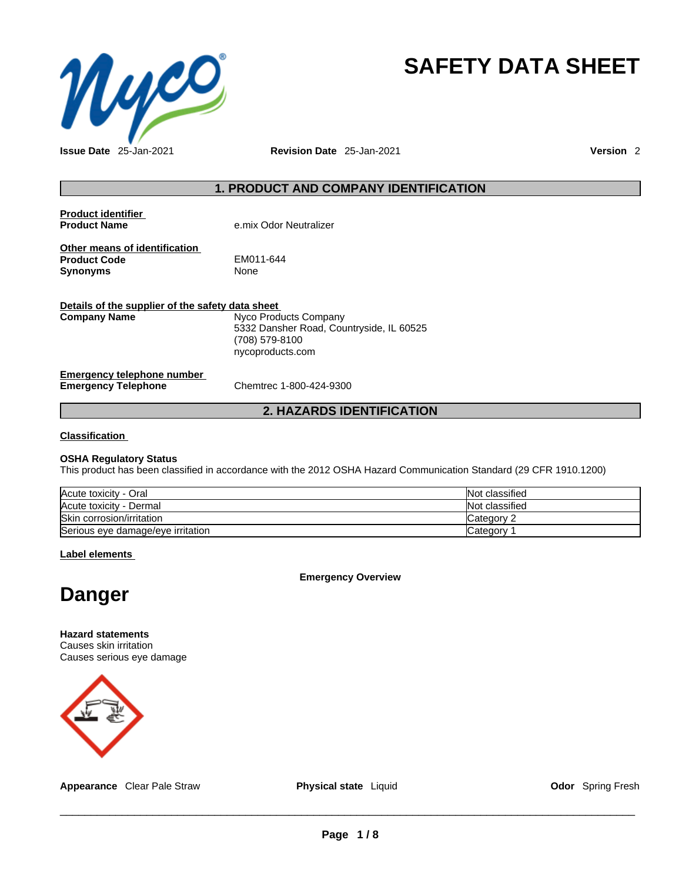

# **SAFETY DATA SHEET**

**Issue Date** 25-Jan-2021 **Revision Date** 25-Jan-2021 **Version** 2

# **1. PRODUCT AND COMPANY IDENTIFICATION**

| <b>Product identifier</b><br><b>Product Name</b>                        | e.mix Odor Neutralizer                                                                                  |
|-------------------------------------------------------------------------|---------------------------------------------------------------------------------------------------------|
| Other means of identification<br><b>Product Code</b><br>Synonyms        | EM011-644<br>None                                                                                       |
| Details of the supplier of the safety data sheet<br><b>Company Name</b> | Nyco Products Company<br>5332 Dansher Road, Countryside, IL 60525<br>(708) 579-8100<br>nycoproducts.com |
| Emergency telephone number<br><b>Emergency Telephone</b>                | Chemtrec 1-800-424-9300                                                                                 |

# **2. HAZARDS IDENTIFICATION**

# **Classification**

# **OSHA Regulatory Status**

This product has been classified in accordance with the 2012 OSHA Hazard Communication Standard (29 CFR 1910.1200)

| Acute toxicity - Oral             | Not classified     |
|-----------------------------------|--------------------|
| Acute toxicity - Dermal           | Not classified     |
| Skin corrosion/irritation         | Category $\degree$ |
| Serious eye damage/eye irritation | Category           |

**Label elements**

**Emergency Overview** 



**Hazard statements** Causes skin irritation Causes serious eye damage



**Appearance** Clear Pale Straw **Physical state** Liquid **Color Spring Fresh Odor** Spring Fresh

 $\_$  ,  $\_$  ,  $\_$  ,  $\_$  ,  $\_$  ,  $\_$  ,  $\_$  ,  $\_$  ,  $\_$  ,  $\_$  ,  $\_$  ,  $\_$  ,  $\_$  ,  $\_$  ,  $\_$  ,  $\_$  ,  $\_$  ,  $\_$  ,  $\_$  ,  $\_$  ,  $\_$  ,  $\_$  ,  $\_$  ,  $\_$  ,  $\_$  ,  $\_$  ,  $\_$  ,  $\_$  ,  $\_$  ,  $\_$  ,  $\_$  ,  $\_$  ,  $\_$  ,  $\_$  ,  $\_$  ,  $\_$  ,  $\_$  ,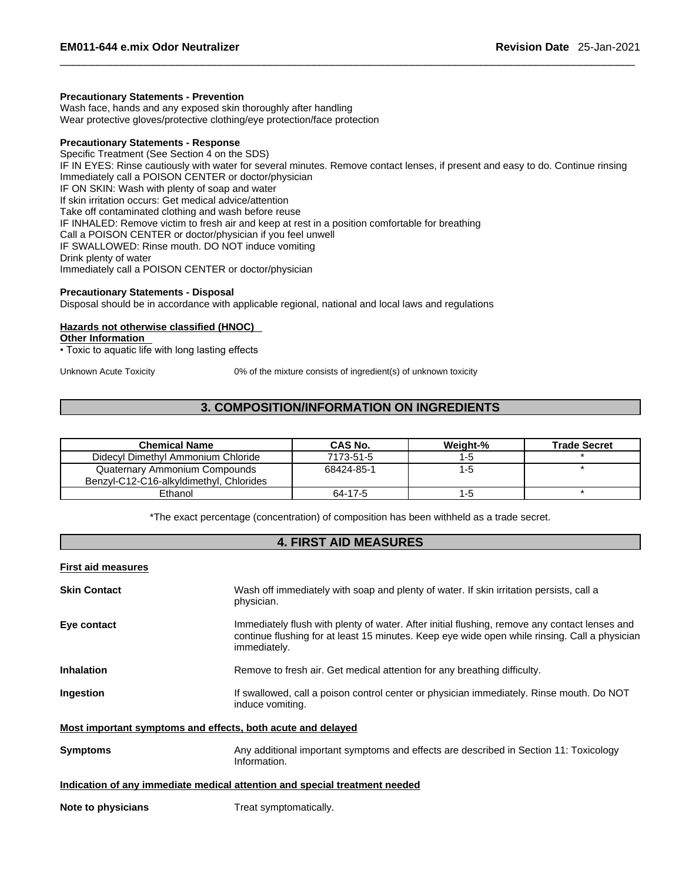### **Precautionary Statements - Prevention**

Wash face, hands and any exposed skin thoroughly after handling Wear protective gloves/protective clothing/eye protection/face protection

# **Precautionary Statements - Response**

Specific Treatment (See Section 4 on the SDS) IF IN EYES: Rinse cautiously with water for several minutes. Remove contact lenses, if present and easy to do. Continue rinsing Immediately call a POISON CENTER or doctor/physician IF ON SKIN: Wash with plenty of soap and water If skin irritation occurs: Get medical advice/attention Take off contaminated clothing and wash before reuse IF INHALED: Remove victim to fresh air and keep at rest in a position comfortable for breathing Call a POISON CENTER or doctor/physician if you feel unwell IF SWALLOWED: Rinse mouth. DO NOT induce vomiting Drink plenty of water Immediately call a POISON CENTER or doctor/physician

# **Precautionary Statements - Disposal**

Disposal should be in accordance with applicable regional, national and local laws and regulations

#### **Hazards not otherwise classified (HNOC)**

**Other Information** 

• Toxic to aquatic life with long lasting effects

Unknown Acute Toxicity 0% of the mixture consists of ingredient(s) of unknown toxicity

# **3. COMPOSITION/INFORMATION ON INGREDIENTS**

| <b>Chemical Name</b>                                                     | <b>CAS No.</b> | Weight-% | <b>Trade Secret</b> |
|--------------------------------------------------------------------------|----------------|----------|---------------------|
| Didecyl Dimethyl Ammonium Chloride                                       | 7173-51-5      | $1 - 5$  |                     |
| Quaternary Ammonium Compounds<br>Benzyl-C12-C16-alkyldimethyl, Chlorides | 68424-85-1     | 1-5      |                     |
| Ethanol                                                                  | 64-17-5        | I - O    |                     |

\*The exact percentage (concentration) of composition has been withheld as a trade secret.

# **4. FIRST AID MEASURES**

#### **First aid measures**

| <b>Skin Contact</b>                                                        | Wash off immediately with soap and plenty of water. If skin irritation persists, call a<br>physician.                                                                                                          |  |  |
|----------------------------------------------------------------------------|----------------------------------------------------------------------------------------------------------------------------------------------------------------------------------------------------------------|--|--|
| Eye contact                                                                | Immediately flush with plenty of water. After initial flushing, remove any contact lenses and<br>continue flushing for at least 15 minutes. Keep eye wide open while rinsing. Call a physician<br>immediately. |  |  |
| <b>Inhalation</b>                                                          | Remove to fresh air. Get medical attention for any breathing difficulty.                                                                                                                                       |  |  |
| Ingestion                                                                  | If swallowed, call a poison control center or physician immediately. Rinse mouth. Do NOT<br>induce vomiting.                                                                                                   |  |  |
| Most important symptoms and effects, both acute and delayed                |                                                                                                                                                                                                                |  |  |
| <b>Symptoms</b>                                                            | Any additional important symptoms and effects are described in Section 11: Toxicology<br>Information.                                                                                                          |  |  |
| Indication of any immediate medical attention and special treatment needed |                                                                                                                                                                                                                |  |  |
|                                                                            |                                                                                                                                                                                                                |  |  |

**Note to physicians** Treat symptomatically.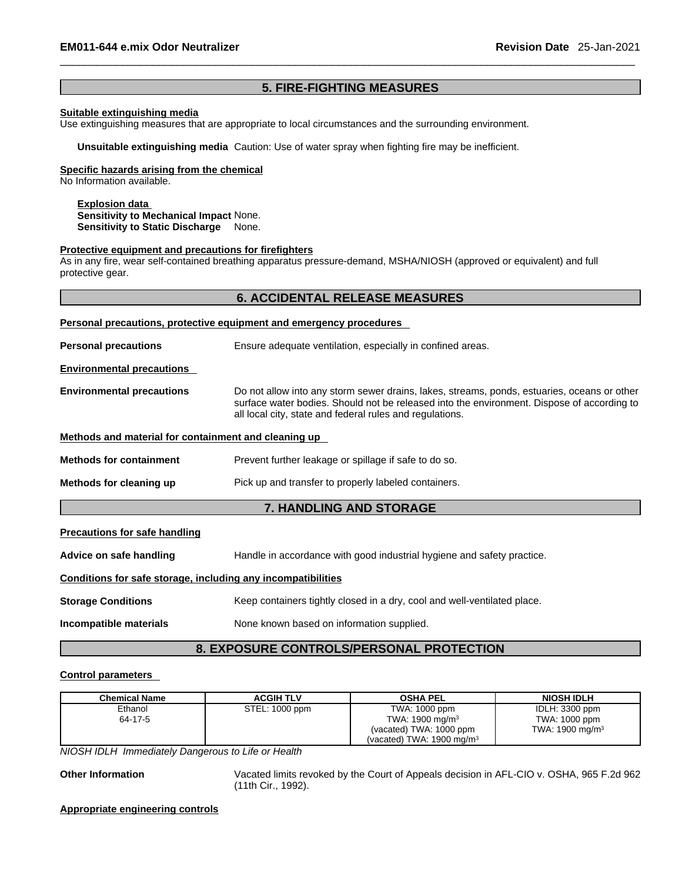# **5. FIRE-FIGHTING MEASURES**

# **Suitable extinguishing media**

Use extinguishing measures that are appropriate to local circumstances and the surrounding environment.

**Unsuitable extinguishing media** Caution: Use of water spray when fighting fire may be inefficient.

#### **Specific hazards arising from the chemical**

No Information available.

# **Explosion data Sensitivity to Mechanical Impact** None. **Sensitivity to Static Discharge** None.

#### **Protective equipment and precautions for firefighters**

As in any fire, wear self-contained breathing apparatus pressure-demand, MSHA/NIOSH (approved or equivalent) and full protective gear.

# **6. ACCIDENTAL RELEASE MEASURES**

|                                                      | Personal precautions, protective equipment and emergency procedures                                                                                                                                                                                   |
|------------------------------------------------------|-------------------------------------------------------------------------------------------------------------------------------------------------------------------------------------------------------------------------------------------------------|
| <b>Personal precautions</b>                          | Ensure adequate ventilation, especially in confined areas.                                                                                                                                                                                            |
| <b>Environmental precautions</b>                     |                                                                                                                                                                                                                                                       |
| <b>Environmental precautions</b>                     | Do not allow into any storm sewer drains, lakes, streams, ponds, estuaries, oceans or other<br>surface water bodies. Should not be released into the environment. Dispose of according to<br>all local city, state and federal rules and regulations. |
| Methods and material for containment and cleaning up |                                                                                                                                                                                                                                                       |
| <b>Methods for containment</b>                       | Prevent further leakage or spillage if safe to do so.                                                                                                                                                                                                 |
| Methods for cleaning up                              | Pick up and transfer to properly labeled containers.                                                                                                                                                                                                  |
|                                                      | <b>7. HANDLING AND STORAGE</b>                                                                                                                                                                                                                        |

| Handle in accordance with good industrial hygiene and safety practice.   |
|--------------------------------------------------------------------------|
| Conditions for safe storage, including any incompatibilities             |
| Keep containers tightly closed in a dry, cool and well-ventilated place. |
| None known based on information supplied.                                |
|                                                                          |

# **8. EXPOSURE CONTROLS/PERSONAL PROTECTION**

## **Control parameters**

| <b>Chemical Name</b> | <b>ACGIH TLV</b> | <b>OSHA PEL</b>                      | <b>NIOSH IDLH</b>          |
|----------------------|------------------|--------------------------------------|----------------------------|
| Ethanol              | STEL: 1000 ppm   | TWA: 1000 ppm                        | IDLH: 3300 ppm             |
| 64-17-5              |                  | TWA: $1900 \text{ mg/m}^3$           | TWA: 1000 ppm              |
|                      |                  | (vacated) TWA: 1000 ppm              | TWA: $1900 \text{ mg/m}^3$ |
|                      |                  | (vacated) TWA: $1900 \text{ mg/m}^3$ |                            |

*NIOSH IDLH Immediately Dangerous to Life or Health* 

**Other Information** Vacated limits revoked by the Court of Appeals decision in AFL-CIO v.OSHA, 965 F.2d 962 (11th Cir., 1992).

**Appropriate engineering controls**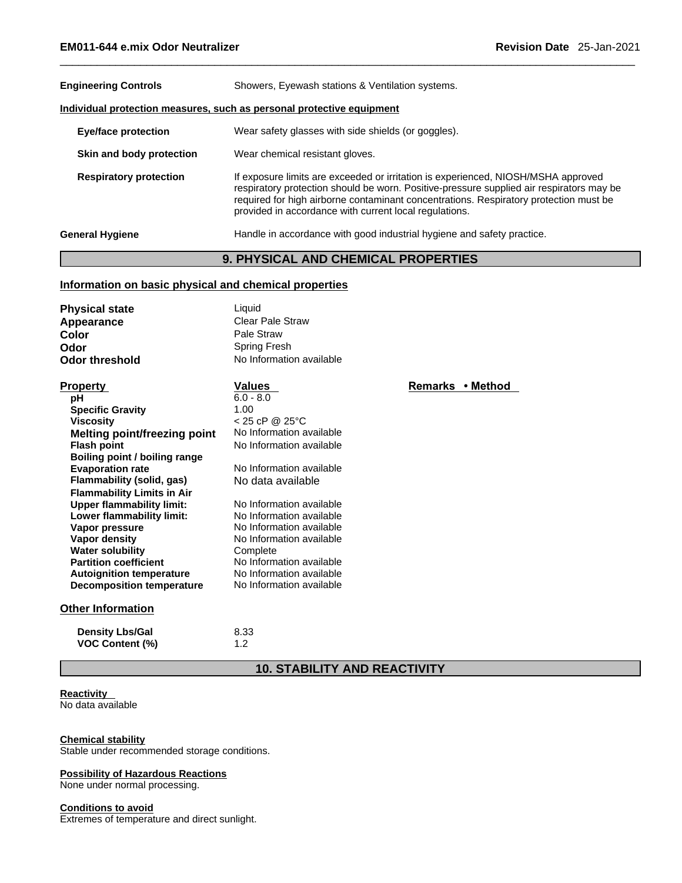| <b>Engineering Controls</b>                                           | Showers, Eyewash stations & Ventilation systems.                                                                                                                                                                                                                                                                                 |  |  |  |
|-----------------------------------------------------------------------|----------------------------------------------------------------------------------------------------------------------------------------------------------------------------------------------------------------------------------------------------------------------------------------------------------------------------------|--|--|--|
| Individual protection measures, such as personal protective equipment |                                                                                                                                                                                                                                                                                                                                  |  |  |  |
| <b>Eye/face protection</b>                                            | Wear safety glasses with side shields (or goggles).                                                                                                                                                                                                                                                                              |  |  |  |
| Skin and body protection                                              | Wear chemical resistant gloves.                                                                                                                                                                                                                                                                                                  |  |  |  |
| <b>Respiratory protection</b>                                         | If exposure limits are exceeded or irritation is experienced, NIOSH/MSHA approved<br>respiratory protection should be worn. Positive-pressure supplied air respirators may be<br>required for high airborne contaminant concentrations. Respiratory protection must be<br>provided in accordance with current local regulations. |  |  |  |
| <b>General Hygiene</b>                                                | Handle in accordance with good industrial hygiene and safety practice.                                                                                                                                                                                                                                                           |  |  |  |

# **9. PHYSICAL AND CHEMICAL PROPERTIES**

# **Information on basic physical and chemical properties**

| <b>Physical state</b>               | Liquid                   |                  |
|-------------------------------------|--------------------------|------------------|
| Appearance                          | Clear Pale Straw         |                  |
| <b>Color</b>                        | Pale Straw               |                  |
| Odor                                | Spring Fresh             |                  |
| <b>Odor threshold</b>               | No Information available |                  |
| <b>Property</b>                     | Values                   | Remarks • Method |
| рH                                  | $6.0 - 8.0$              |                  |
| <b>Specific Gravity</b>             | 1.00                     |                  |
| <b>Viscosity</b>                    | $< 25$ cP @ 25°C         |                  |
| <b>Melting point/freezing point</b> | No Information available |                  |
| <b>Flash point</b>                  | No Information available |                  |
| Boiling point / boiling range       |                          |                  |
| <b>Evaporation rate</b>             | No Information available |                  |
| Flammability (solid, gas)           | No data available        |                  |
| <b>Flammability Limits in Air</b>   |                          |                  |
| <b>Upper flammability limit:</b>    | No Information available |                  |
| Lower flammability limit:           | No Information available |                  |
| Vapor pressure                      | No Information available |                  |
| Vapor density                       | No Information available |                  |
| <b>Water solubility</b>             | Complete                 |                  |
| <b>Partition coefficient</b>        | No Information available |                  |
| <b>Autoignition temperature</b>     | No Information available |                  |
| Decomposition temperature           | No Information available |                  |
|                                     |                          |                  |

# **Other Information**

| <b>Density Lbs/Gal</b> | 8.33 |
|------------------------|------|
| <b>VOC Content (%)</b> | 1.2  |

# **10. STABILITY AND REACTIVITY**

# **Reactivity**

No data available

# **Chemical stability**

Stable under recommended storage conditions.

# **Possibility of Hazardous Reactions**

None under normal processing.

# **Conditions to avoid**

Extremes of temperature and direct sunlight.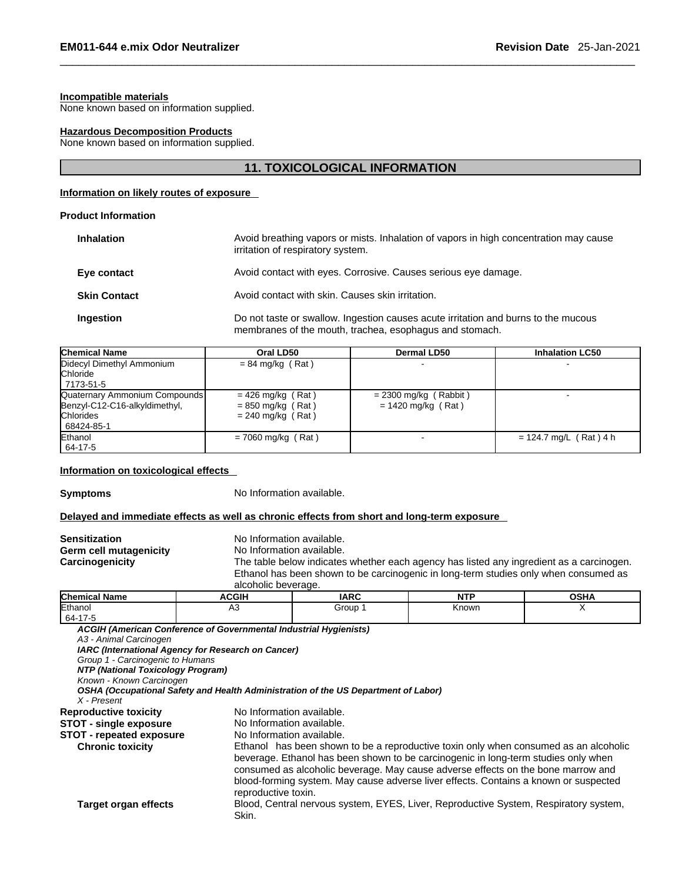#### **Incompatible materials**

None known based on information supplied.

#### **Hazardous Decomposition Products**

None known based on information supplied.

# **11. TOXICOLOGICAL INFORMATION**

# **Information on likely routes of exposure**

#### **Product Information**

| <b>Inhalation</b>   | Avoid breathing vapors or mists. Inhalation of vapors in high concentration may cause<br>irritation of respiratory system.                    |
|---------------------|-----------------------------------------------------------------------------------------------------------------------------------------------|
| Eye contact         | Avoid contact with eyes. Corrosive. Causes serious eye damage.                                                                                |
| <b>Skin Contact</b> | Avoid contact with skin. Causes skin irritation.                                                                                              |
| Ingestion           | Do not taste or swallow. Ingestion causes acute irritation and burns to the mucous<br>membranes of the mouth, trachea, esophagus and stomach. |

| <b>Chemical Name</b>                                                                             | Oral LD50                                                         | Dermal LD50                                     | <b>Inhalation LC50</b>   |
|--------------------------------------------------------------------------------------------------|-------------------------------------------------------------------|-------------------------------------------------|--------------------------|
| Didecyl Dimethyl Ammonium<br>Chloride<br>  7173-51-5                                             | $= 84$ mg/kg (Rat)                                                |                                                 |                          |
| Quaternary Ammonium Compounds<br>Benzyl-C12-C16-alkyldimethyl,<br><b>Chlorides</b><br>68424-85-1 | $= 426$ mg/kg (Rat)<br>$= 850$ mg/kg (Rat)<br>$= 240$ mg/kg (Rat) | $= 2300$ mg/kg (Rabbit)<br>$= 1420$ mg/kg (Rat) |                          |
| Ethanol<br>64-17-5                                                                               | $= 7060$ mg/kg (Rat)                                              |                                                 | $= 124.7$ mg/L (Rat) 4 h |

#### **Information on toxicological effects**

**Symptoms** No Information available.

# **Delayed and immediate effects as well as chronic effects from short and long-term exposure**

| Sensitization          |  |
|------------------------|--|
| Germ cell mutagenicity |  |
| Carcinogenicity        |  |

**No Information available.** 

No Information available.

The table below indicates whether each agency has listed any ingredient as a carcinogen. Ethanol has been shown to be carcinogenic in long-term studies only when consumed as alcoholic beverage.

| <b>Chemical Name</b>              | <b>ACGIH</b>                                                                       | <b>IARC</b> | <b>NTP</b>                                                                                                                                                                                                                                                                                                                                             | <b>OSHA</b> |
|-----------------------------------|------------------------------------------------------------------------------------|-------------|--------------------------------------------------------------------------------------------------------------------------------------------------------------------------------------------------------------------------------------------------------------------------------------------------------------------------------------------------------|-------------|
| Ethanol                           | A <sub>3</sub>                                                                     | Group 1     | Known                                                                                                                                                                                                                                                                                                                                                  | X           |
| 64-17-5                           |                                                                                    |             |                                                                                                                                                                                                                                                                                                                                                        |             |
|                                   | ACGIH (American Conference of Governmental Industrial Hygienists)                  |             |                                                                                                                                                                                                                                                                                                                                                        |             |
| A3 - Animal Carcinogen            |                                                                                    |             |                                                                                                                                                                                                                                                                                                                                                        |             |
|                                   | IARC (International Agency for Research on Cancer)                                 |             |                                                                                                                                                                                                                                                                                                                                                        |             |
| Group 1 - Carcinogenic to Humans  |                                                                                    |             |                                                                                                                                                                                                                                                                                                                                                        |             |
| NTP (National Toxicology Program) |                                                                                    |             |                                                                                                                                                                                                                                                                                                                                                        |             |
| Known - Known Carcinogen          |                                                                                    |             |                                                                                                                                                                                                                                                                                                                                                        |             |
|                                   | OSHA (Occupational Safety and Health Administration of the US Department of Labor) |             |                                                                                                                                                                                                                                                                                                                                                        |             |
| X - Present                       |                                                                                    |             |                                                                                                                                                                                                                                                                                                                                                        |             |
| <b>Reproductive toxicity</b>      | No Information available.                                                          |             |                                                                                                                                                                                                                                                                                                                                                        |             |
| <b>STOT - single exposure</b>     | No Information available.                                                          |             |                                                                                                                                                                                                                                                                                                                                                        |             |
| <b>STOT - repeated exposure</b>   | No Information available.                                                          |             |                                                                                                                                                                                                                                                                                                                                                        |             |
| <b>Chronic toxicity</b>           | reproductive toxin.                                                                |             | Ethanol has been shown to be a reproductive toxin only when consumed as an alcoholic<br>beverage. Ethanol has been shown to be carcinogenic in long-term studies only when<br>consumed as alcoholic beverage. May cause adverse effects on the bone marrow and<br>blood-forming system. May cause adverse liver effects. Contains a known or suspected |             |
| Target organ effects              | Skin.                                                                              |             | Blood, Central nervous system, EYES, Liver, Reproductive System, Respiratory system,                                                                                                                                                                                                                                                                   |             |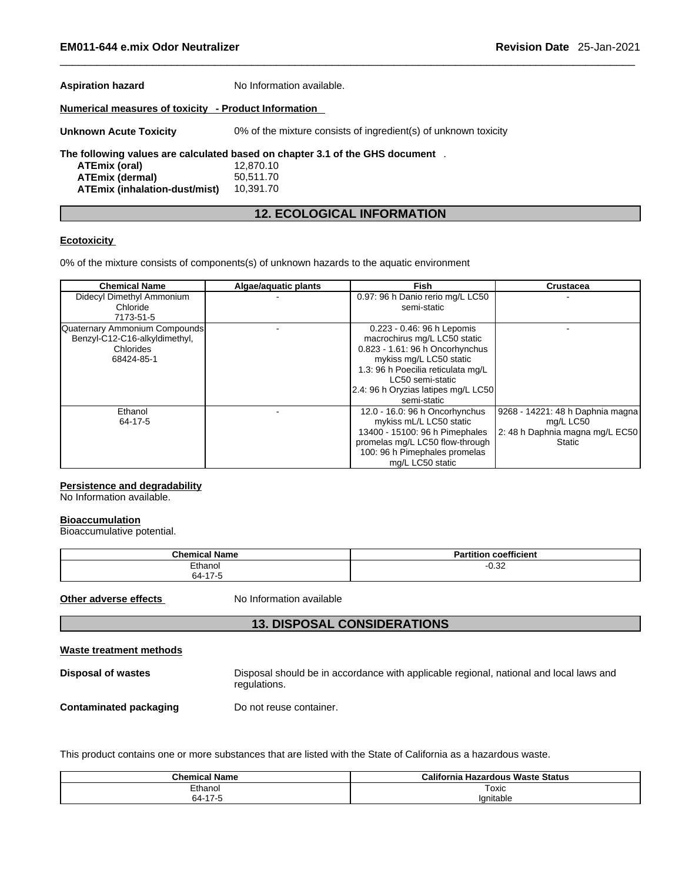| <b>Aspiration hazard</b>                             | No Information available.                                                    |
|------------------------------------------------------|------------------------------------------------------------------------------|
| Numerical measures of toxicity - Product Information |                                                                              |
| <b>Unknown Acute Toxicity</b>                        | 0% of the mixture consists of ingredient(s) of unknown toxicity              |
|                                                      | The following values are calculated based on chapter 3.1 of the GHS document |
| ATEmix (oral)                                        | 12,870.10                                                                    |
| <b>ATEmix (dermal)</b>                               | 50,511.70                                                                    |
| <b>ATEmix (inhalation-dust/mist)</b>                 | 10,391.70                                                                    |
|                                                      |                                                                              |

# **12. ECOLOGICAL INFORMATION**

# **Ecotoxicity**

0% of the mixture consists of components(s) of unknown hazards to the aquatic environment

| <b>Chemical Name</b>          | Algae/aguatic plants | Fish                                | <b>Crustacea</b>                 |
|-------------------------------|----------------------|-------------------------------------|----------------------------------|
| Didecyl Dimethyl Ammonium     |                      | 0.97: 96 h Danio rerio mg/L LC50    |                                  |
| Chloride                      |                      | semi-static                         |                                  |
| 7173-51-5                     |                      |                                     |                                  |
| Quaternary Ammonium Compounds |                      | 0.223 - 0.46: 96 h Lepomis          |                                  |
| Benzyl-C12-C16-alkyldimethyl, |                      | macrochirus mg/L LC50 static        |                                  |
| Chlorides                     |                      | 0.823 - 1.61: 96 h Oncorhynchus     |                                  |
| 68424-85-1                    |                      | mykiss mg/L LC50 static             |                                  |
|                               |                      | 1.3: 96 h Poecilia reticulata mg/L  |                                  |
|                               |                      | LC50 semi-static                    |                                  |
|                               |                      | 2.4: 96 h Oryzias latipes mg/L LC50 |                                  |
|                               |                      | semi-static                         |                                  |
| Ethanol                       |                      | 12.0 - 16.0: 96 h Oncorhynchus      | 9268 - 14221: 48 h Daphnia magna |
| 64-17-5                       |                      | mykiss mL/L LC50 static             | mg/L LC50                        |
|                               |                      | 13400 - 15100: 96 h Pimephales      | 2: 48 h Daphnia magna mg/L EC50  |
|                               |                      | promelas mg/L LC50 flow-through     | <b>Static</b>                    |
|                               |                      | 100: 96 h Pimephales promelas       |                                  |
|                               |                      | mg/L LC50 static                    |                                  |

# **Persistence and degradability**

No Information available.

#### **Bioaccumulation**

Bioaccumulative potential.

| <b>Chemical Name</b> | $- - -$<br>$\cdot$<br><b>Partition</b><br>⊦coefficient |
|----------------------|--------------------------------------------------------|
| Fthanol              | $\sim$<br>--<br>-0.JZ                                  |
| $-47$ $-$<br>$64 -$  |                                                        |

**Other adverse effects** No Information available

# **13. DISPOSAL CONSIDERATIONS**

|--|

**Disposal of wastes** Disposal should be in accordance with applicable regional, national and local laws and regulations.

**Contaminated packaging** Do not reuse container.

This product contains one or more substances that are listed with the State of California as a hazardous waste.

| <b>Chemical Name</b>                  | California<br>a Hazardous Waste Status |
|---------------------------------------|----------------------------------------|
| Ethanol                               | Toxic                                  |
| . <b>. .</b> .<br>64-<br>$\mathbf{r}$ | lanitable                              |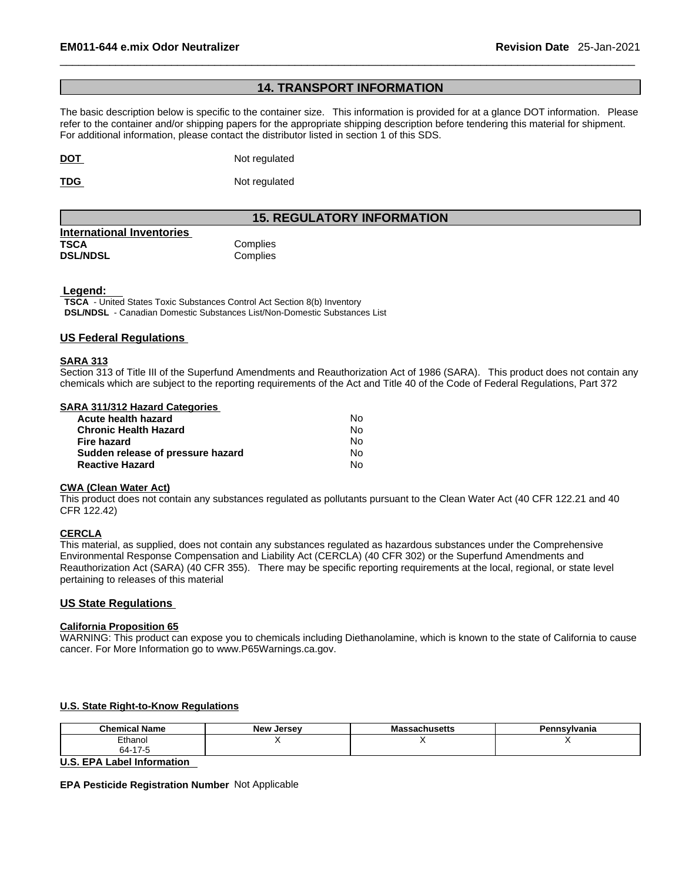# **14. TRANSPORT INFORMATION**

The basic description below is specific to the container size. This information is provided for at a glance DOT information. Please refer to the container and/or shipping papers for the appropriate shipping description before tendering this material for shipment. For additional information, please contact the distributor listed in section 1 of this SDS.

**DOT** Not regulated

**TDG** Not regulated

# **15. REGULATORY INFORMATION**

| International Inventories |          |
|---------------------------|----------|
| TSCA                      | Complies |
| <b>DSL/NDSL</b>           | Complies |

#### **Legend:**

**TSCA** - United States Toxic Substances Control Act Section 8(b) Inventory **DSL/NDSL** - Canadian Domestic Substances List/Non-Domestic Substances List

# **US Federal Regulations**

#### **SARA 313**

Section 313 of Title III of the Superfund Amendments and Reauthorization Act of 1986 (SARA). This product does not contain any chemicals which are subject to the reporting requirements of the Act and Title 40 of the Code of Federal Regulations, Part 372

#### **SARA 311/312 Hazard Categories**

| Acute health hazard               | No. |  |
|-----------------------------------|-----|--|
| Chronic Health Hazard             | No. |  |
| Fire hazard                       | N٥  |  |
| Sudden release of pressure hazard | No. |  |
| <b>Reactive Hazard</b>            | No. |  |

#### **CWA (Clean WaterAct)**

This product does not contain any substances regulated as pollutants pursuant to the Clean Water Act (40 CFR 122.21 and 40 CFR 122.42)

# **CERCLA**

This material, as supplied, does not contain any substances regulated as hazardous substances under the Comprehensive Environmental Response Compensation and Liability Act (CERCLA) (40 CFR 302) or the Superfund Amendments and Reauthorization Act (SARA) (40 CFR 355). There may be specific reporting requirements at the local, regional, or state level pertaining to releases of this material

# **US State Regulations**

# **California Proposition 65**

WARNING: This product can expose you to chemicals including Diethanolamine, which is known to the state of California to cause cancer. For More Information go to www.P65Warnings.ca.gov.

# **U.S. State Right-to-Know Regulations**

| .<br><b>Chemic.</b><br>Name | <b>New</b><br>Jersev | saunuseus<br>. | nsvivania |
|-----------------------------|----------------------|----------------|-----------|
| Ethanol                     |                      | $\cdot$ .      |           |
| ີ "<br>64-<br>. .           |                      |                |           |

**U.S. EPA Label Information** 

**EPA Pesticide Registration Number** Not Applicable